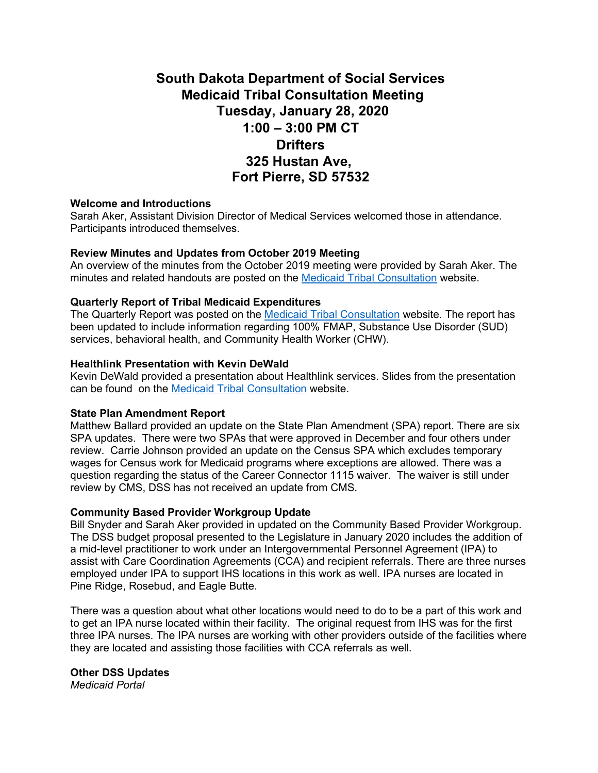# **South Dakota Department of Social Services Medicaid Tribal Consultation Meeting Tuesday, January 28, 2020 1:00 – 3:00 PM CT Drifters 325 Hustan Ave, Fort Pierre, SD 57532**

## **Welcome and Introductions**

Sarah Aker, Assistant Division Director of Medical Services welcomed those in attendance. Participants introduced themselves.

## **Review Minutes and Updates from October 2019 Meeting**

An overview of the minutes from the October 2019 meeting were provided by Sarah Aker. The minutes and related handouts are posted on the [Medicaid Tribal Consultation](https://dss.sd.gov/medicaid/generalinfo/tribalconsultation.aspx) website.

## **Quarterly Report of Tribal Medicaid Expenditures**

The Quarterly Report was posted on the [Medicaid Tribal Consultation](https://dss.sd.gov/medicaid/generalinfo/tribalconsultation.aspx) website. The report has been updated to include information regarding 100% FMAP, Substance Use Disorder (SUD) services, behavioral health, and Community Health Worker (CHW).

## **Healthlink Presentation with Kevin DeWald**

Kevin DeWald provided a presentation about Healthlink services. Slides from the presentation can be found on the [Medicaid Tribal Consultation](https://dss.sd.gov/medicaid/generalinfo/tribalconsultation.aspx) website.

## **State Plan Amendment Report**

Matthew Ballard provided an update on the State Plan Amendment (SPA) report. There are six SPA updates. There were two SPAs that were approved in December and four others under review. Carrie Johnson provided an update on the Census SPA which excludes temporary wages for Census work for Medicaid programs where exceptions are allowed. There was a question regarding the status of the Career Connector 1115 waiver. The waiver is still under review by CMS, DSS has not received an update from CMS.

## **Community Based Provider Workgroup Update**

Bill Snyder and Sarah Aker provided in updated on the Community Based Provider Workgroup. The DSS budget proposal presented to the Legislature in January 2020 includes the addition of a mid-level practitioner to work under an Intergovernmental Personnel Agreement (IPA) to assist with Care Coordination Agreements (CCA) and recipient referrals. There are three nurses employed under IPA to support IHS locations in this work as well. IPA nurses are located in Pine Ridge, Rosebud, and Eagle Butte.

There was a question about what other locations would need to do to be a part of this work and to get an IPA nurse located within their facility. The original request from IHS was for the first three IPA nurses. The IPA nurses are working with other providers outside of the facilities where they are located and assisting those facilities with CCA referrals as well.

## **Other DSS Updates**

*Medicaid Portal*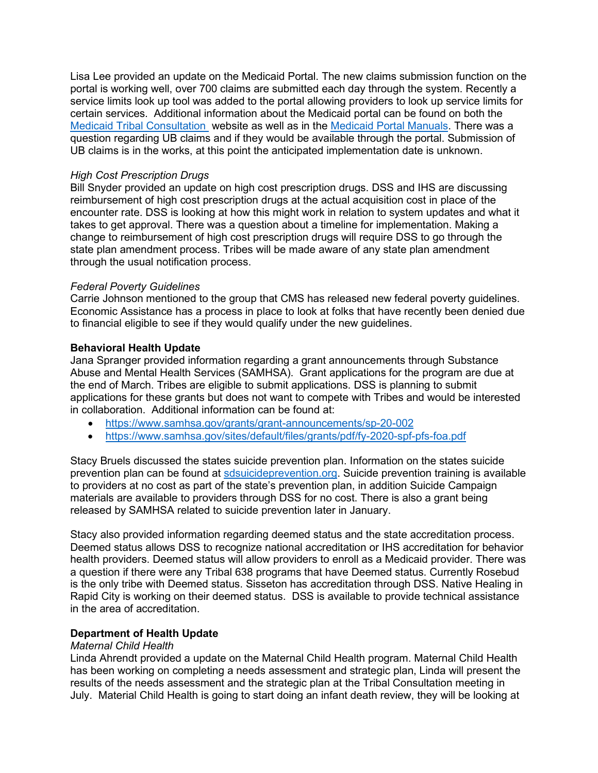Lisa Lee provided an update on the Medicaid Portal. The new claims submission function on the portal is working well, over 700 claims are submitted each day through the system. Recently a service limits look up tool was added to the portal allowing providers to look up service limits for certain services. Additional information about the Medicaid portal can be found on both the [Medicaid Tribal Consultation](https://dss.sd.gov/medicaid/generalinfo/tribalconsultation.aspx) website as well as in the [Medicaid Portal Manuals.](https://dss.sd.gov/medicaid/portal.aspx) There was a question regarding UB claims and if they would be available through the portal. Submission of UB claims is in the works, at this point the anticipated implementation date is unknown.

## *High Cost Prescription Drugs*

Bill Snyder provided an update on high cost prescription drugs. DSS and IHS are discussing reimbursement of high cost prescription drugs at the actual acquisition cost in place of the encounter rate. DSS is looking at how this might work in relation to system updates and what it takes to get approval. There was a question about a timeline for implementation. Making a change to reimbursement of high cost prescription drugs will require DSS to go through the state plan amendment process. Tribes will be made aware of any state plan amendment through the usual notification process.

## *Federal Poverty Guidelines*

Carrie Johnson mentioned to the group that CMS has released new federal poverty guidelines. Economic Assistance has a process in place to look at folks that have recently been denied due to financial eligible to see if they would qualify under the new guidelines.

## **Behavioral Health Update**

Jana Spranger provided information regarding a grant announcements through Substance Abuse and Mental Health Services (SAMHSA). Grant applications for the program are due at the end of March. Tribes are eligible to submit applications. DSS is planning to submit applications for these grants but does not want to compete with Tribes and would be interested in collaboration. Additional information can be found at:

- <https://www.samhsa.gov/grants/grant-announcements/sp-20-002>
- <https://www.samhsa.gov/sites/default/files/grants/pdf/fy-2020-spf-pfs-foa.pdf>

Stacy Bruels discussed the states suicide prevention plan. Information on the states suicide prevention plan can be found at [sdsuicideprevention.org.](http://sdsuicideprevention.org/) Suicide prevention training is available to providers at no cost as part of the state's prevention plan, in addition Suicide Campaign materials are available to providers through DSS for no cost. There is also a grant being released by SAMHSA related to suicide prevention later in January.

Stacy also provided information regarding deemed status and the state accreditation process. Deemed status allows DSS to recognize national accreditation or IHS accreditation for behavior health providers. Deemed status will allow providers to enroll as a Medicaid provider. There was a question if there were any Tribal 638 programs that have Deemed status. Currently Rosebud is the only tribe with Deemed status. Sisseton has accreditation through DSS. Native Healing in Rapid City is working on their deemed status. DSS is available to provide technical assistance in the area of accreditation.

## **Department of Health Update**

## *Maternal Child Health*

Linda Ahrendt provided a update on the Maternal Child Health program. Maternal Child Health has been working on completing a needs assessment and strategic plan, Linda will present the results of the needs assessment and the strategic plan at the Tribal Consultation meeting in July. Material Child Health is going to start doing an infant death review, they will be looking at